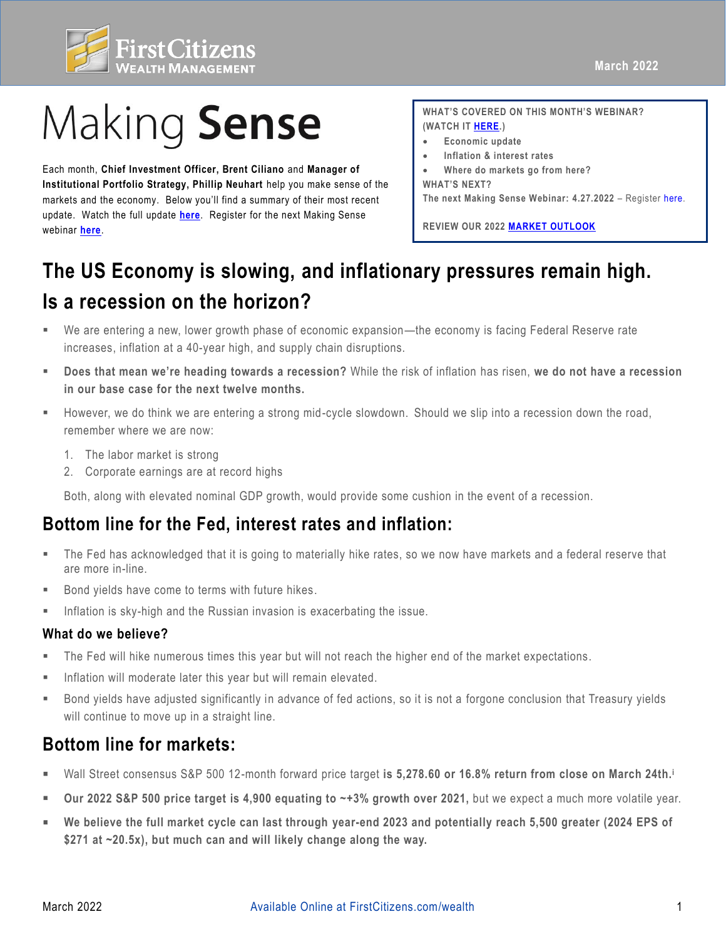

# Making Sense

 update. Watch the full update **[here](https://fast.wistia.net/embed/channel/3szt6oi0ia?wchannelid=3szt6oi0ia&wvideoid=478nsmlqv7)**. Register for the next Making Sense Each month, **Chief Investment Officer, Brent Ciliano** and **Manager of Institutional Portfolio Strategy, Phillip Neuhart** help you make sense of the markets and the economy. Below you'll find a summary of their most recent webinar **[here](https://firstcitizens.webex.com/firstcitizens/onstage/g.php?MTID=e08fb930138951edfd79f7b81ca28e677)**.

**WHAT'S COVERED ON THIS MONTH'S WEBINAR? (WATCH IT [HERE.\)](https://fast.wistia.net/embed/channel/3szt6oi0ia?wchannelid=3szt6oi0ia&wvideoid=478nsmlqv7)** 

- **Economic update**
- **Inflation & interest rates**
- **Where do markets go from here?**
- **WHAT'S NEXT?**

 **The next Making Sense Webinar: 4.27.2022** – Register [here.](https://firstcitizens.webex.com/firstcitizens/onstage/g.php?MTID=e08fb930138951edfd79f7b81ca28e677)

 **REVIEW OUR 2022 [MARKET OUTLOOK](https://www.firstcitizens.com/wealth/market-outlook/2021/making-sense-2022-market-outlook)** 

## **The US Economy is slowing, and inflationary pressures remain high. Is a recession on the horizon?**

- ▪ We are entering a new, lower growth phase of economic expansion—the economy is facing Federal Reserve rate increases, inflation at a 40-year high, and supply chain disruptions.
- ▪ **Does that mean we're heading towards a recession?** While the risk of inflation has risen, **we do not have a recession in our base case for the next twelve months.**
- ▪ However, we do think we are entering a strong mid-cycle slowdown. Should we slip into a recession down the road, remember where we are now:
	- 1. The labor market is strong
	- 2. Corporate earnings are at record highs

Both, along with elevated nominal GDP growth, would provide some cushion in the event of a recession.

### **Bottom line for the Fed, interest rates and inflation:**

- are more in-line. ▪ The Fed has acknowledged that it is going to materially hike rates, so we now have markets and a federal reserve that
- Bond yields have come to terms with future hikes.
- **EXE** Inflation is sky-high and the Russian invasion is exacerbating the issue.

#### **What do we believe?**

- The Fed will hike numerous times this year but will not reach the higher end of the market expectations.
- **EXECT** Inflation will moderate later this year but will remain elevated.
- ▪ Bond yields have adjusted significantly in advance of fed actions, so it is not a forgone conclusion that Treasury yields will continue to move up in a straight line.

### **Bottom line for markets:**

- Wall Street consensus S&P 500 12-month forward price target is 5,278.60 or 16.8% return from close on March 24th.<sup>i</sup>
- Our 2022 S&P 500 price target is 4,900 equating to ~+3% growth over 2021, but we expect a much more volatile year.
- We believe the full market cycle can last through year-end 2023 and potentially reach 5,500 greater (2024 EPS of  **\$271 at ~20.5x), but much can and will likely change along the way.**